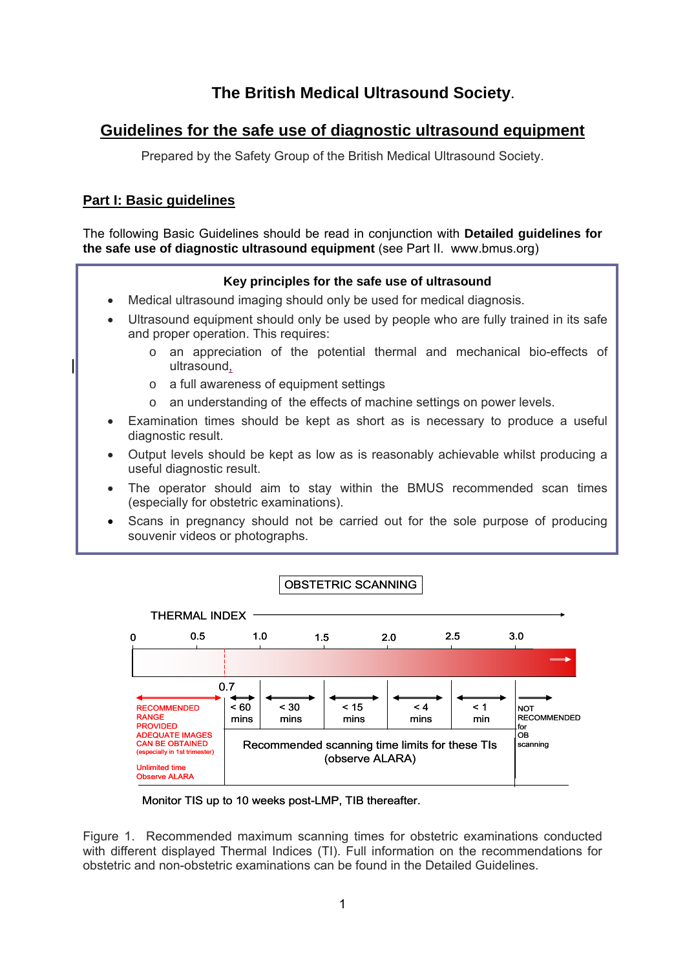## **The British Medical Ultrasound Society**.

## **Guidelines for the safe use of diagnostic ultrasound equipment**

Prepared by the Safety Group of the British Medical Ultrasound Society.

### **Part I: Basic guidelines**

The following Basic Guidelines should be read in conjunction with **Detailed guidelines for the safe use of diagnostic ultrasound equipment** (see Part II. www.bmus.org)

### **Key principles for the safe use of ultrasound**

- Medical ultrasound imaging should only be used for medical diagnosis.
- Ultrasound equipment should only be used by people who are fully trained in its safe and proper operation. This requires:
	- o an appreciation of the potential thermal and mechanical bio-effects of ultrasound,
	- o a full awareness of equipment settings
	- o an understanding of the effects of machine settings on power levels.
- Examination times should be kept as short as is necessary to produce a useful diagnostic result.
- Output levels should be kept as low as is reasonably achievable whilst producing a useful diagnostic result.
- The operator should aim to stay within the BMUS recommended scan times (especially for obstetric examinations).
- Scans in pregnancy should not be carried out for the sole purpose of producing souvenir videos or photographs.



Monitor TIS up to 10 weeks post-LMP, TIB thereafter.

Figure 1. Recommended maximum scanning times for obstetric examinations conducted with different displayed Thermal Indices (TI). Full information on the recommendations for obstetric and non-obstetric examinations can be found in the Detailed Guidelines.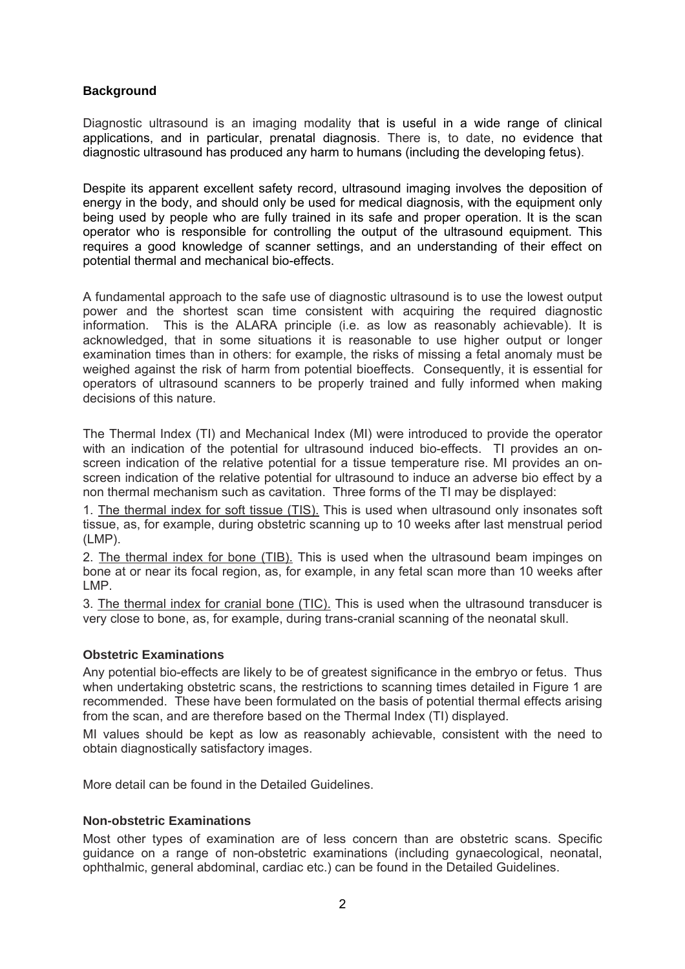### **Background**

Diagnostic ultrasound is an imaging modality that is useful in a wide range of clinical applications, and in particular, prenatal diagnosis. There is, to date, no evidence that diagnostic ultrasound has produced any harm to humans (including the developing fetus).

Despite its apparent excellent safety record, ultrasound imaging involves the deposition of energy in the body, and should only be used for medical diagnosis, with the equipment only being used by people who are fully trained in its safe and proper operation. It is the scan operator who is responsible for controlling the output of the ultrasound equipment. This requires a good knowledge of scanner settings, and an understanding of their effect on potential thermal and mechanical bio-effects.

A fundamental approach to the safe use of diagnostic ultrasound is to use the lowest output power and the shortest scan time consistent with acquiring the required diagnostic information. This is the ALARA principle (i.e. as low as reasonably achievable). It is acknowledged, that in some situations it is reasonable to use higher output or longer examination times than in others: for example, the risks of missing a fetal anomaly must be weighed against the risk of harm from potential bioeffects. Consequently, it is essential for operators of ultrasound scanners to be properly trained and fully informed when making decisions of this nature.

The Thermal Index (TI) and Mechanical Index (MI) were introduced to provide the operator with an indication of the potential for ultrasound induced bio-effects. To provides an onscreen indication of the relative potential for a tissue temperature rise. MI provides an onscreen indication of the relative potential for ultrasound to induce an adverse bio effect by a non thermal mechanism such as cavitation. Three forms of the TI may be displayed:

1. The thermal index for soft tissue (TIS). This is used when ultrasound only insonates soft tissue, as, for example, during obstetric scanning up to 10 weeks after last menstrual period (LMP).

2. The thermal index for bone (TIB). This is used when the ultrasound beam impinges on bone at or near its focal region, as, for example, in any fetal scan more than 10 weeks after LMP.

3. The thermal index for cranial bone (TIC). This is used when the ultrasound transducer is very close to bone, as, for example, during trans-cranial scanning of the neonatal skull.

#### **Obstetric Examinations**

Any potential bio-effects are likely to be of greatest significance in the embryo or fetus. Thus when undertaking obstetric scans, the restrictions to scanning times detailed in Figure 1 are recommended. These have been formulated on the basis of potential thermal effects arising from the scan, and are therefore based on the Thermal Index (TI) displayed.

MI values should be kept as low as reasonably achievable, consistent with the need to obtain diagnostically satisfactory images.

More detail can be found in the Detailed Guidelines.

#### **Non-obstetric Examinations**

Most other types of examination are of less concern than are obstetric scans. Specific guidance on a range of non-obstetric examinations (including gynaecological, neonatal, ophthalmic, general abdominal, cardiac etc.) can be found in the Detailed Guidelines.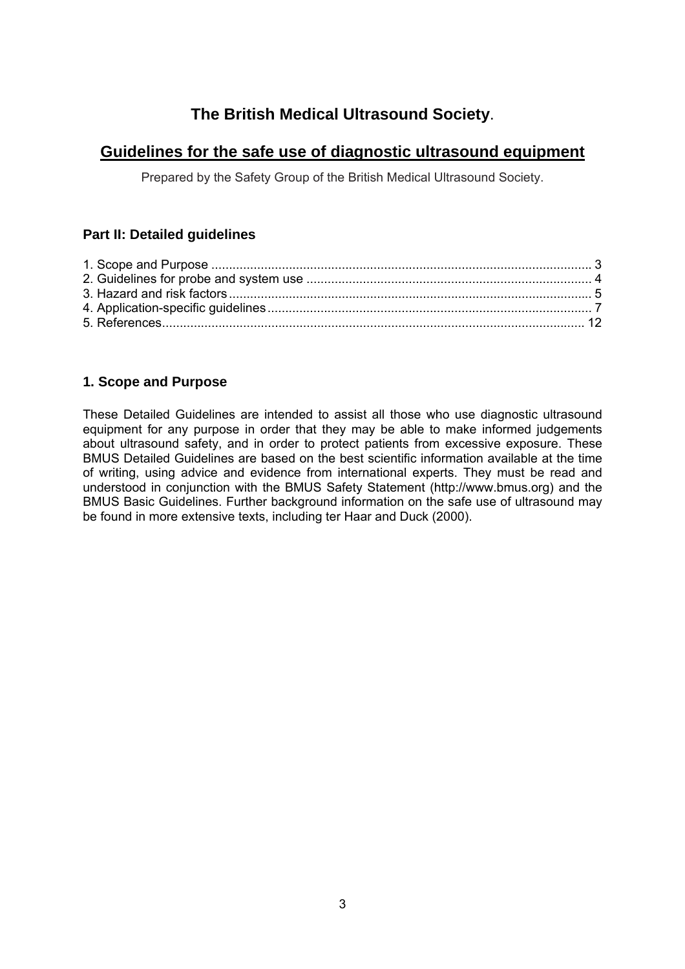## **The British Medical Ultrasound Society**.

## **Guidelines for the safe use of diagnostic ultrasound equipment**

Prepared by the Safety Group of the British Medical Ultrasound Society.

## **Part II: Detailed guidelines**

## **1. Scope and Purpose**

These Detailed Guidelines are intended to assist all those who use diagnostic ultrasound equipment for any purpose in order that they may be able to make informed judgements about ultrasound safety, and in order to protect patients from excessive exposure. These BMUS Detailed Guidelines are based on the best scientific information available at the time of writing, using advice and evidence from international experts. They must be read and understood in conjunction with the BMUS Safety Statement (http://www.bmus.org) and the BMUS Basic Guidelines. Further background information on the safe use of ultrasound may be found in more extensive texts, including ter Haar and Duck (2000).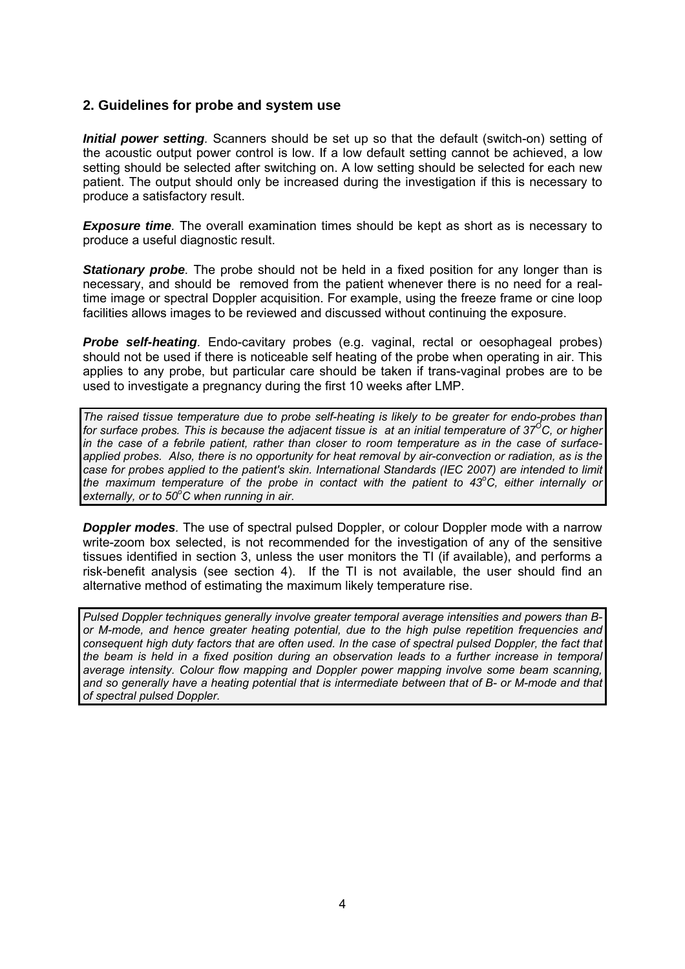### **2. Guidelines for probe and system use**

*Initial power setting.* Scanners should be set up so that the default (switch-on) setting of the acoustic output power control is low. If a low default setting cannot be achieved, a low setting should be selected after switching on. A low setting should be selected for each new patient. The output should only be increased during the investigation if this is necessary to produce a satisfactory result.

*Exposure time.* The overall examination times should be kept as short as is necessary to produce a useful diagnostic result.

**Stationary probe**. The probe should not be held in a fixed position for any longer than is necessary, and should be removed from the patient whenever there is no need for a realtime image or spectral Doppler acquisition. For example, using the freeze frame or cine loop facilities allows images to be reviewed and discussed without continuing the exposure.

*Probe self-heating.* Endo-cavitary probes (e.g. vaginal, rectal or oesophageal probes) should not be used if there is noticeable self heating of the probe when operating in air. This applies to any probe, but particular care should be taken if trans-vaginal probes are to be used to investigate a pregnancy during the first 10 weeks after LMP.

*The raised tissue temperature due to probe self-heating is likely to be greater for endo-probes than for surface probes. This is because the adjacent tissue is at an initial temperature of 37OC, or higher in the case of a febrile patient, rather than closer to room temperature as in the case of surfaceapplied probes. Also, there is no opportunity for heat removal by air-convection or radiation, as is the case for probes applied to the patient's skin. International Standards (IEC 2007) are intended to limit the maximum temperature of the probe in contact with the patient to 43<sup>o</sup> C, either internally or externally, or to 50<sup>o</sup> C when running in air*.

*Doppler modes*. The use of spectral pulsed Doppler, or colour Doppler mode with a narrow write-zoom box selected, is not recommended for the investigation of any of the sensitive tissues identified in section 3, unless the user monitors the TI (if available), and performs a risk-benefit analysis (see section 4). If the TI is not available, the user should find an alternative method of estimating the maximum likely temperature rise.

*Pulsed Doppler techniques generally involve greater temporal average intensities and powers than Bor M-mode, and hence greater heating potential, due to the high pulse repetition frequencies and consequent high duty factors that are often used. In the case of spectral pulsed Doppler, the fact that the beam is held in a fixed position during an observation leads to a further increase in temporal average intensity. Colour flow mapping and Doppler power mapping involve some beam scanning, and so generally have a heating potential that is intermediate between that of B- or M-mode and that of spectral pulsed Doppler.*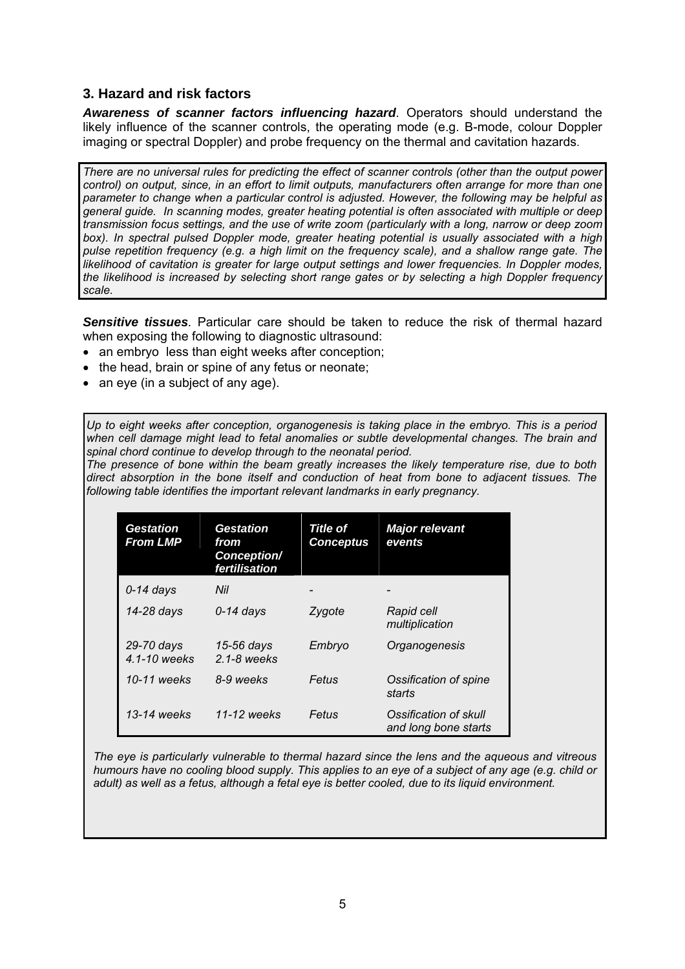### **3. Hazard and risk factors**

*Awareness of scanner factors influencing hazard.* Operators should understand the likely influence of the scanner controls, the operating mode (e.g. B-mode, colour Doppler imaging or spectral Doppler) and probe frequency on the thermal and cavitation hazards.

*There are no universal rules for predicting the effect of scanner controls (other than the output power control) on output, since, in an effort to limit outputs, manufacturers often arrange for more than one parameter to change when a particular control is adjusted. However, the following may be helpful as general guide. In scanning modes, greater heating potential is often associated with multiple or deep transmission focus settings, and the use of write zoom (particularly with a long, narrow or deep zoom box). In spectral pulsed Doppler mode, greater heating potential is usually associated with a high pulse repetition frequency (e.g. a high limit on the frequency scale), and a shallow range gate. The likelihood of cavitation is greater for large output settings and lower frequencies. In Doppler modes, the likelihood is increased by selecting short range gates or by selecting a high Doppler frequency scale.*

*Sensitive tissues.* Particular care should be taken to reduce the risk of thermal hazard when exposing the following to diagnostic ultrasound:

- an embryo less than eight weeks after conception;
- the head, brain or spine of any fetus or neonate;
- an eye (in a subject of any age).

*Up to eight weeks after conception, organogenesis is taking place in the embryo. This is a period when cell damage might lead to fetal anomalies or subtle developmental changes. The brain and spinal chord continue to develop through to the neonatal period.* 

*The presence of bone within the beam greatly increases the likely temperature rise, due to both direct absorption in the bone itself and conduction of heat from bone to adjacent tissues. The following table identifies the important relevant landmarks in early pregnancy.* 

| <b>Gestation</b><br><b>From LMP</b> | <b>Gestation</b><br>from<br>Conception/<br>fertilisation | <b>Title of</b><br><b>Conceptus</b> | <b>Major relevant</b><br>events               |
|-------------------------------------|----------------------------------------------------------|-------------------------------------|-----------------------------------------------|
| 0-14 days                           | Nil                                                      |                                     |                                               |
| 14-28 days                          | $0-14$ days                                              | Zygote                              | Rapid cell<br>multiplication                  |
| 29-70 days<br>4.1-10 weeks          | 15-56 days<br>2.1-8 weeks                                | Embryo                              | Organogenesis                                 |
| 10-11 weeks                         | 8-9 weeks                                                | Fetus                               | Ossification of spine<br>starts               |
| $13-14$ weeks                       | $11-12$ weeks                                            | Fetus                               | Ossification of skull<br>and long bone starts |

*The eye is particularly vulnerable to thermal hazard since the lens and the aqueous and vitreous humours have no cooling blood supply. This applies to an eye of a subject of any age (e.g. child or adult) as well as a fetus, although a fetal eye is better cooled, due to its liquid environment.*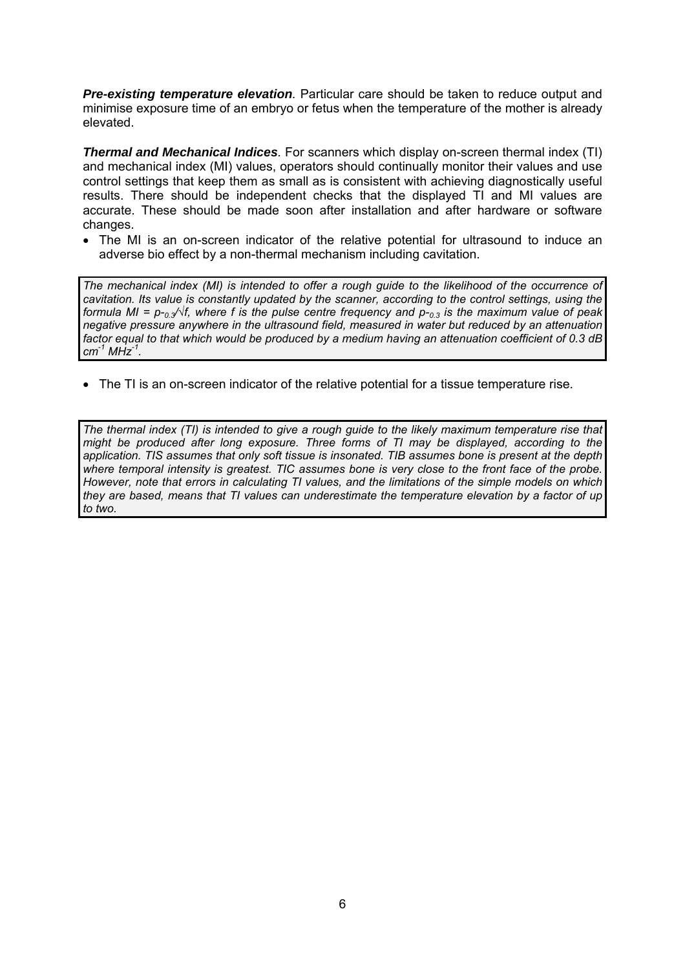*Pre-existing temperature elevation.* Particular care should be taken to reduce output and minimise exposure time of an embryo or fetus when the temperature of the mother is already elevated.

**Thermal and Mechanical Indices**. For scanners which display on-screen thermal index (TI) and mechanical index (MI) values, operators should continually monitor their values and use control settings that keep them as small as is consistent with achieving diagnostically useful results. There should be independent checks that the displayed TI and MI values are accurate. These should be made soon after installation and after hardware or software changes.

• The MI is an on-screen indicator of the relative potential for ultrasound to induce an adverse bio effect by a non-thermal mechanism including cavitation.

*The mechanical index (MI) is intended to offer a rough guide to the likelihood of the occurrence of cavitation. Its value is constantly updated by the scanner, according to the control settings, using the formula MI = p-* $_{0.3}$   $\sqrt{f}$ , where f is the pulse centre frequency and p- $_{0.3}$  is the maximum value of peak *negative pressure anywhere in the ultrasound field, measured in water but reduced by an attenuation factor equal to that which would be produced by a medium having an attenuation coefficient of 0.3 dB cm-1 MHz-1.* 

• The TI is an on-screen indicator of the relative potential for a tissue temperature rise.

*The thermal index (TI) is intended to give a rough guide to the likely maximum temperature rise that might be produced after long exposure. Three forms of TI may be displayed, according to the application. TIS assumes that only soft tissue is insonated. TIB assumes bone is present at the depth where temporal intensity is greatest. TIC assumes bone is very close to the front face of the probe. However, note that errors in calculating TI values, and the limitations of the simple models on which they are based, means that TI values can underestimate the temperature elevation by a factor of up to two.*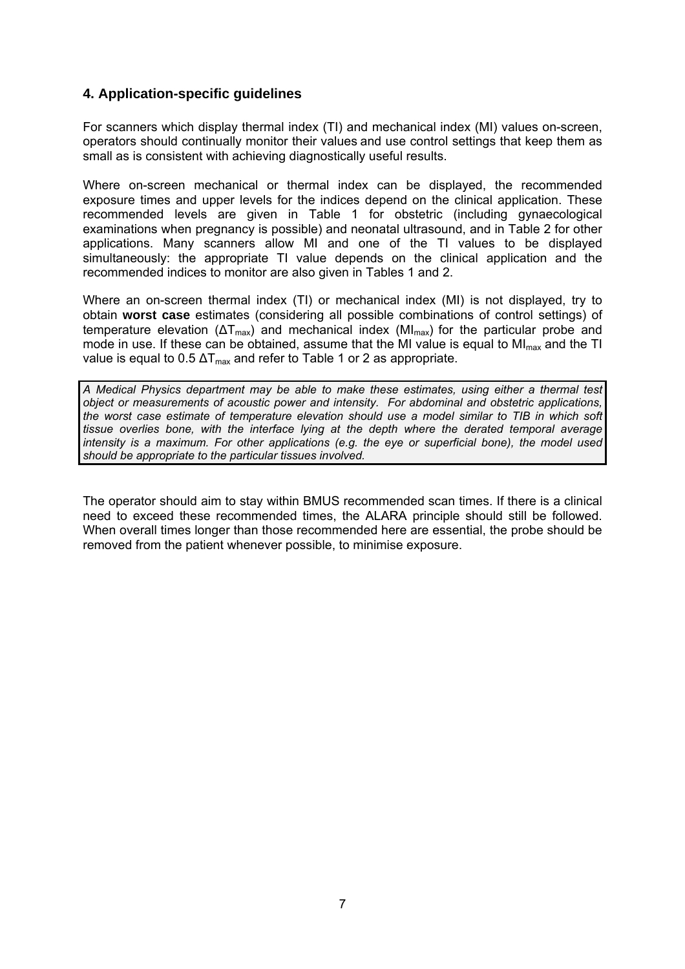### **4. Application-specific guidelines**

For scanners which display thermal index (TI) and mechanical index (MI) values on-screen, operators should continually monitor their values and use control settings that keep them as small as is consistent with achieving diagnostically useful results.

Where on-screen mechanical or thermal index can be displayed, the recommended exposure times and upper levels for the indices depend on the clinical application. These recommended levels are given in Table 1 for obstetric (including gynaecological examinations when pregnancy is possible) and neonatal ultrasound, and in Table 2 for other applications. Many scanners allow MI and one of the TI values to be displayed simultaneously: the appropriate TI value depends on the clinical application and the recommended indices to monitor are also given in Tables 1 and 2.

Where an on-screen thermal index (TI) or mechanical index (MI) is not displayed, try to obtain **worst case** estimates (considering all possible combinations of control settings) of temperature elevation ( $\Delta T_{max}$ ) and mechanical index (MI<sub>max</sub>) for the particular probe and mode in use. If these can be obtained, assume that the MI value is equal to  $MI<sub>max</sub>$  and the TI value is equal to  $0.5 \Delta T_{max}$  and refer to Table 1 or 2 as appropriate.

*A Medical Physics department may be able to make these estimates, using either a thermal test object or measurements of acoustic power and intensity. For abdominal and obstetric applications, the worst case estimate of temperature elevation should use a model similar to TIB in which soft tissue overlies bone, with the interface lying at the depth where the derated temporal average intensity is a maximum. For other applications (e.g. the eye or superficial bone), the model used should be appropriate to the particular tissues involved.* 

The operator should aim to stay within BMUS recommended scan times. If there is a clinical need to exceed these recommended times, the ALARA principle should still be followed. When overall times longer than those recommended here are essential, the probe should be removed from the patient whenever possible, to minimise exposure.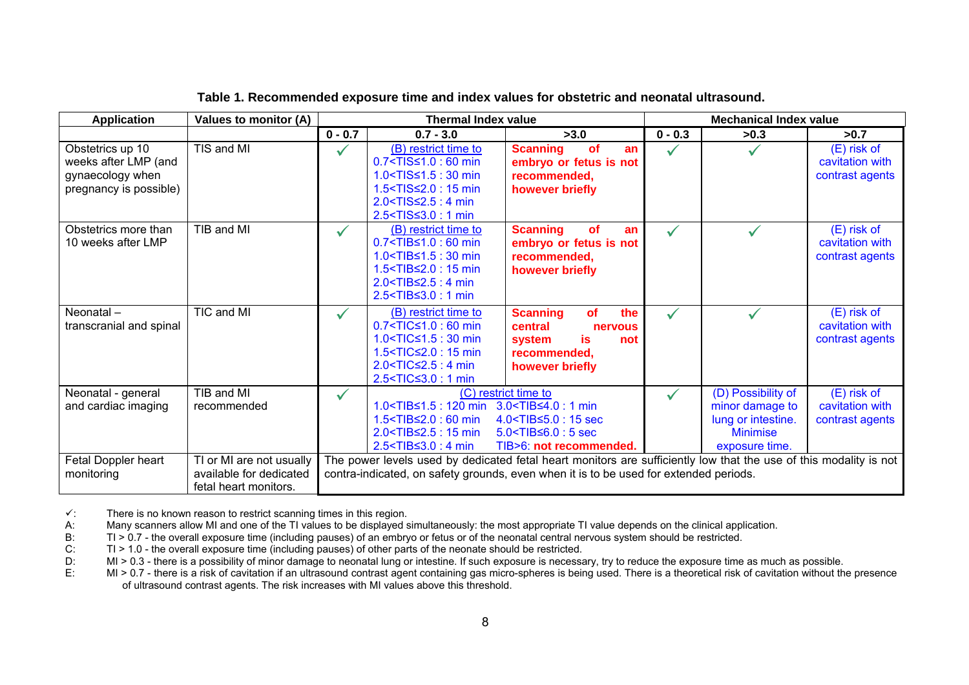| <b>Application</b>                                                                     | Values to monitor (A)                                                        | <b>Thermal Index value</b>                                                                                                                                                                                 |                                                                                                                                                                                                                                                                                                                                                                                                                                                                                                       |                                                                                                                     | <b>Mechanical Index value</b> |                                                                                                  |                                                     |
|----------------------------------------------------------------------------------------|------------------------------------------------------------------------------|------------------------------------------------------------------------------------------------------------------------------------------------------------------------------------------------------------|-------------------------------------------------------------------------------------------------------------------------------------------------------------------------------------------------------------------------------------------------------------------------------------------------------------------------------------------------------------------------------------------------------------------------------------------------------------------------------------------------------|---------------------------------------------------------------------------------------------------------------------|-------------------------------|--------------------------------------------------------------------------------------------------|-----------------------------------------------------|
|                                                                                        |                                                                              | $0 - 0.7$                                                                                                                                                                                                  | $0.7 - 3.0$                                                                                                                                                                                                                                                                                                                                                                                                                                                                                           | >3.0                                                                                                                | $0 - 0.3$                     | >0.3                                                                                             | >0.7                                                |
| Obstetrics up 10<br>weeks after LMP (and<br>gynaecology when<br>pregnancy is possible) | TIS and MI                                                                   |                                                                                                                                                                                                            | (B) restrict time to<br>$0.7 <$ TIS $\leq 1.0$ : 60 min<br>1.0 <tis≤1.5 30="" :="" min<br="">1.5<tis≤2.0 15="" :="" min<br=""><math>2.0 &lt; TIS \leq 2.5 : 4 min</math><br/><math>2.5 &lt; TIS \leq 3.0 : 1 min</math></tis≤2.0></tis≤1.5>                                                                                                                                                                                                                                                           | <b>Scanning</b><br>of<br>an<br>embryo or fetus is not<br>recommended,<br>however briefly                            | $\checkmark$                  |                                                                                                  | $(E)$ risk of<br>cavitation with<br>contrast agents |
| Obstetrics more than<br>10 weeks after LMP                                             | TIB and MI                                                                   | $\checkmark$                                                                                                                                                                                               | (B) restrict time to<br>$0.7 <$ TIB $\leq 1.0$ : 60 min<br>$1.0 <$ TIB $\leq 1.5$ : 30 min<br>$1.5 <$ TIB $\leq$ 2.0 : 15 min<br>$2.0 < TIB \le 2.5 : 4 min$<br>$2.5 <$ TIB $\leq$ 3.0 : 1 min                                                                                                                                                                                                                                                                                                        | <b>Scanning</b><br>of<br>an<br>embryo or fetus is not<br>recommended,<br>however briefly                            | ✓                             |                                                                                                  | $(E)$ risk of<br>cavitation with<br>contrast agents |
| Neonatal-<br>transcranial and spinal                                                   | TIC and MI                                                                   |                                                                                                                                                                                                            | (B) restrict time to<br>$0.7 <$ TIC $\leq 1.0$ : 60 min<br>1.0 <tic≤1.5 30="" :="" min<br="">1.5<tic≤2.0 15="" :="" min<br=""><math>2.0 &lt; TIC \le 2.5 : 4 min</math><br/>2.5<tic≤3.0 1="" :="" min<="" td=""><td><b>Scanning</b><br/>the<br/><b>of</b><br/>central<br/>nervous<br/>is<br/>system<br/>not<br/>recommended,<br/>however briefly</td><td><math>\checkmark</math></td><td></td><td><math>(E)</math> risk of<br/>cavitation with<br/>contrast agents</td></tic≤3.0></tic≤2.0></tic≤1.5> | <b>Scanning</b><br>the<br><b>of</b><br>central<br>nervous<br>is<br>system<br>not<br>recommended,<br>however briefly | $\checkmark$                  |                                                                                                  | $(E)$ risk of<br>cavitation with<br>contrast agents |
| Neonatal - general<br>and cardiac imaging                                              | TIB and MI<br>recommended                                                    | $\checkmark$                                                                                                                                                                                               | (C) restrict time to<br>1.0 <tib≤1.5:120 3.0<tib≤4.0:1="" min="" min<br="">1.5<tib≤2.0 60="" :="" min<br="">4.0<tib≤5.0 15="" :="" sec<br=""><math>2.0 &lt; TIB \le 2.5 : 15 min</math><br/>5.0<tib≤6.0 5="" :="" sec<br=""><math>2.5 &lt;</math>TIB<math>\leq</math>3.0 : 4 min<br/>TIB&gt;6: not recommended.</tib≤6.0></tib≤5.0></tib≤2.0></tib≤1.5:120>                                                                                                                                           |                                                                                                                     | ✓                             | (D) Possibility of<br>minor damage to<br>lung or intestine.<br><b>Minimise</b><br>exposure time. | $(E)$ risk of<br>cavitation with<br>contrast agents |
| Fetal Doppler heart<br>monitoring                                                      | TI or MI are not usually<br>available for dedicated<br>fetal heart monitors. | The power levels used by dedicated fetal heart monitors are sufficiently low that the use of this modality is not<br>contra-indicated, on safety grounds, even when it is to be used for extended periods. |                                                                                                                                                                                                                                                                                                                                                                                                                                                                                                       |                                                                                                                     |                               |                                                                                                  |                                                     |

 $\checkmark$ : There is no known reason to restrict scanning times in this region.<br>A: Many scanners allow MI and one of the TI values to be displayed s

A: Many scanners allow MI and one of the TI values to be displayed simultaneously: the most appropriate TI value depends on the clinical application.<br>B: TI > 0.7 - the overall exposure time (including pauses) of an embryo

B: TI > 0.7 - the overall exposure time (including pauses) of an embryo or fetus or of the neonatal central nervous system should be restricted.

C: TI > 1.0 - the overall exposure time (including pauses) of other parts of the neonate should be restricted.

D: MI > 0.3 - there is a possibility of minor damage to neonatal lung or intestine. If such exposure is necessary, try to reduce the exposure time as much as possible.<br>E: MI > 0.7 - there is a risk of cavitation if an ultr

MI > 0.7 - there is a risk of cavitation if an ultrasound contrast agent containing gas micro-spheres is being used. There is a theoretical risk of cavitation without the presence of ultrasound contrast agents. The risk increases with MI values above this threshold.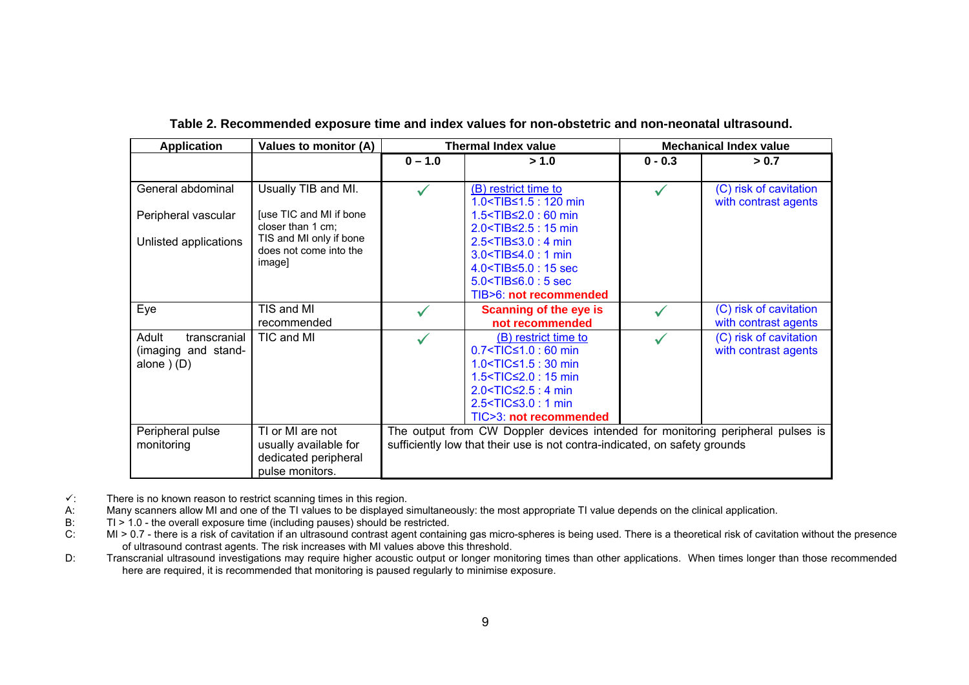| <b>Application</b>                                                | Values to monitor (A)                                                                                                              | <b>Thermal Index value</b>                                                                                                                                    |                                                                                                                                                                                                                                                                                                                                                                                                                                                                       |           | <b>Mechanical Index value</b>                  |
|-------------------------------------------------------------------|------------------------------------------------------------------------------------------------------------------------------------|---------------------------------------------------------------------------------------------------------------------------------------------------------------|-----------------------------------------------------------------------------------------------------------------------------------------------------------------------------------------------------------------------------------------------------------------------------------------------------------------------------------------------------------------------------------------------------------------------------------------------------------------------|-----------|------------------------------------------------|
|                                                                   |                                                                                                                                    | $0 - 1.0$                                                                                                                                                     | > 1.0                                                                                                                                                                                                                                                                                                                                                                                                                                                                 | $0 - 0.3$ | > 0.7                                          |
| General abdominal<br>Peripheral vascular<br>Unlisted applications | Usually TIB and MI.<br>[use TIC and MI if bone<br>closer than 1 cm;<br>TIS and MI only if bone<br>does not come into the<br>image] |                                                                                                                                                               | (B) restrict time to<br>1.0 <tib≤1.5: 120="" min<br="">1.5<tib≤2.0 60="" :="" min<br=""><math>2.0 &lt;</math>TIB<math>\leq</math>2.5 : 15 min<br/><math>2.5 &lt;</math>TIB<math>\leq</math>3.0 : 4 min<br/><math>3.0 &lt;</math>TIB<math>\leq 4.0</math> : 1 min<br/><math>4.0 &lt;</math>TIB<math>\leq 5.0</math> : 15 sec<br/>5.0<tib≤6.0 5="" :="" sec<="" td=""><td>✓</td><td>(C) risk of cavitation<br/>with contrast agents</td></tib≤6.0></tib≤2.0></tib≤1.5:> | ✓         | (C) risk of cavitation<br>with contrast agents |
| Eye                                                               | TIS and MI                                                                                                                         |                                                                                                                                                               | TIB>6: not recommended<br><b>Scanning of the eye is</b>                                                                                                                                                                                                                                                                                                                                                                                                               |           | (C) risk of cavitation                         |
|                                                                   | recommended                                                                                                                        |                                                                                                                                                               | not recommended                                                                                                                                                                                                                                                                                                                                                                                                                                                       |           | with contrast agents                           |
| Adult<br>transcranial<br>(imaging and stand-<br>alone $)$ (D)     | TIC and MI                                                                                                                         |                                                                                                                                                               | (B) restrict time to<br>0.7 <tic≤1.0 60="" :="" min<br="">1.0<tic≤1.5 30="" :="" min<br="">1.5<tic≤2.0: 15="" min<br="">2.0 &lt; TIC ≤ 2.5 : 4 min<br/><math>2.5 &lt; TIC \leq 3.0 : 1 min</math><br/>TIC&gt;3: not recommended</tic≤2.0:></tic≤1.5></tic≤1.0>                                                                                                                                                                                                        |           | (C) risk of cavitation<br>with contrast agents |
| Peripheral pulse<br>monitoring                                    | TI or MI are not<br>usually available for<br>dedicated peripheral<br>pulse monitors.                                               | The output from CW Doppler devices intended for monitoring peripheral pulses is<br>sufficiently low that their use is not contra-indicated, on safety grounds |                                                                                                                                                                                                                                                                                                                                                                                                                                                                       |           |                                                |

#### **Table 2. Recommended exposure time and index values for non-obstetric and non-neonatal ultrasound.**

 $\checkmark$ : There is no known reason to restrict scanning times in this region.

A: Many scanners allow MI and one of the TI values to be displayed simultaneously: the most appropriate TI value depends on the clinical application.

B: TI > 1.0 - the overall exposure time (including pauses) should be restricted.

C: MI > 0.7 - there is a risk of cavitation if an ultrasound contrast agent containing gas micro-spheres is being used. There is a theoretical risk of cavitation without the presence of ultrasound contrast agents. The risk increases with MI values above this threshold.

D: Transcranial ultrasound investigations may require higher acoustic output or longer monitoring times than other applications. When times longer than those recommended here are required, it is recommended that monitoring is paused regularly to minimise exposure.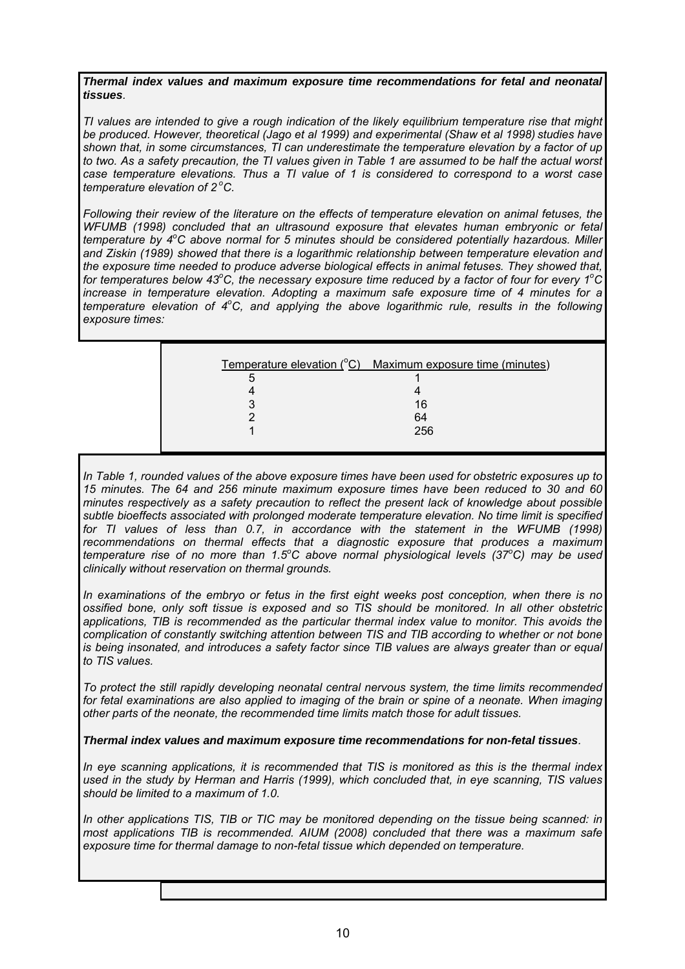#### *Thermal index values and maximum exposure time recommendations for fetal and neonatal tissues.*

*TI values are intended to give a rough indication of the likely equilibrium temperature rise that might be produced. However, theoretical (Jago et al 1999) and experimental (Shaw et al 1998) studies have shown that, in some circumstances, TI can underestimate the temperature elevation by a factor of up to two. As a safety precaution, the TI values given in Table 1 are assumed to be half the actual worst case temperature elevations. Thus a TI value of 1 is considered to correspond to a worst case temperature elevation of 2<sup>°</sup>C.* 

*Following their review of the literature on the effects of temperature elevation on animal fetuses, the WFUMB (1998) concluded that an ultrasound exposure that elevates human embryonic or fetal temperature by 4<sup>o</sup> C above normal for 5 minutes should be considered potentially hazardous. Miller and Ziskin (1989) showed that there is a logarithmic relationship between temperature elevation and the exposure time needed to produce adverse biological effects in animal fetuses. They showed that,*  for temperatures below 43°C, the necessary exposure time reduced by a factor of four for every 1°C *increase in temperature elevation. Adopting a maximum safe exposure time of 4 minutes for a*  temperature elevation of 4<sup>°</sup>C, and applying the above logarithmic rule, results in the following *exposure times:* 

|   | Temperature elevation (°C) Maximum exposure time (minutes) |
|---|------------------------------------------------------------|
| 5 |                                                            |
|   |                                                            |
|   | 16                                                         |
|   | 64                                                         |
|   | 256                                                        |
|   |                                                            |

*In Table 1, rounded values of the above exposure times have been used for obstetric exposures up to 15 minutes. The 64 and 256 minute maximum exposure times have been reduced to 30 and 60 minutes respectively as a safety precaution to reflect the present lack of knowledge about possible subtle bioeffects associated with prolonged moderate temperature elevation. No time limit is specified*  for TI values of less than 0.7, in accordance with the statement in the WFUMB (1998) *recommendations on thermal effects that a diagnostic exposure that produces a maximum temperature rise of no more than 1.5<sup>o</sup> C above normal physiological levels (37<sup>o</sup> C) may be used clinically without reservation on thermal grounds.* 

*In examinations of the embryo or fetus in the first eight weeks post conception, when there is no ossified bone, only soft tissue is exposed and so TIS should be monitored. In all other obstetric applications, TIB is recommended as the particular thermal index value to monitor. This avoids the complication of constantly switching attention between TIS and TIB according to whether or not bone is being insonated, and introduces a safety factor since TIB values are always greater than or equal to TIS values.* 

*To protect the still rapidly developing neonatal central nervous system, the time limits recommended*  for fetal examinations are also applied to imaging of the brain or spine of a neonate. When imaging *other parts of the neonate, the recommended time limits match those for adult tissues.* 

*Thermal index values and maximum exposure time recommendations for non-fetal tissues.* 

*In eye scanning applications, it is recommended that TIS is monitored as this is the thermal index used in the study by Herman and Harris (1999), which concluded that, in eye scanning, TIS values should be limited to a maximum of 1.0.* 

In other applications TIS, TIB or TIC may be monitored depending on the tissue being scanned: in *most applications TIB is recommended. AIUM (2008) concluded that there was a maximum safe exposure time for thermal damage to non-fetal tissue which depended on temperature.*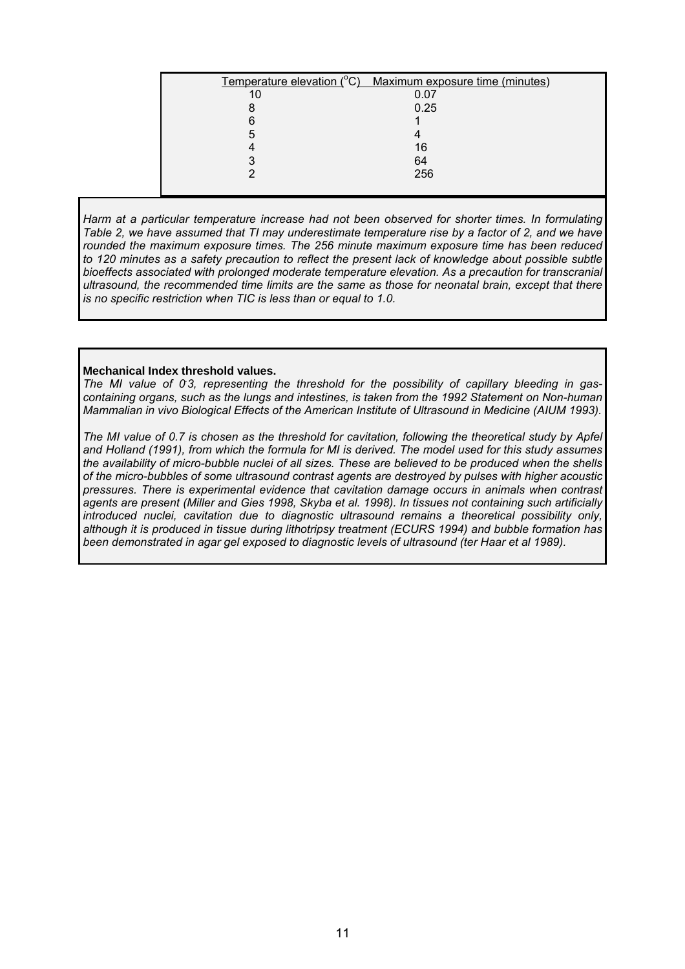| Temperature elevation (°C) Maximum exposure time (minutes) |
|------------------------------------------------------------|
| 0.07                                                       |
| 0.25                                                       |
|                                                            |
|                                                            |
| 16                                                         |
| 64                                                         |
| 256                                                        |
|                                                            |

*Harm at a particular temperature increase had not been observed for shorter times. In formulating Table 2, we have assumed that TI may underestimate temperature rise by a factor of 2, and we have rounded the maximum exposure times. The 256 minute maximum exposure time has been reduced*  to 120 minutes as a safety precaution to reflect the present lack of knowledge about possible subtle *bioeffects associated with prolonged moderate temperature elevation. As a precaution for transcranial ultrasound, the recommended time limits are the same as those for neonatal brain, except that there is no specific restriction when TIC is less than or equal to 1.0.* 

#### **Mechanical Index threshold values.**

The MI value of 03, representing the threshold for the possibility of capillary bleeding in gas*containing organs, such as the lungs and intestines, is taken from the 1992 Statement on Non-human Mammalian in vivo Biological Effects of the American Institute of Ultrasound in Medicine (AIUM 1993).* 

*The MI value of 0.7 is chosen as the threshold for cavitation, following the theoretical study by Apfel and Holland (1991), from which the formula for MI is derived. The model used for this study assumes the availability of micro-bubble nuclei of all sizes. These are believed to be produced when the shells of the micro-bubbles of some ultrasound contrast agents are destroyed by pulses with higher acoustic pressures. There is experimental evidence that cavitation damage occurs in animals when contrast agents are present (Miller and Gies 1998, Skyba et al. 1998). In tissues not containing such artificially introduced nuclei, cavitation due to diagnostic ultrasound remains a theoretical possibility only, although it is produced in tissue during lithotripsy treatment (ECURS 1994) and bubble formation has been demonstrated in agar gel exposed to diagnostic levels of ultrasound (ter Haar et al 1989).*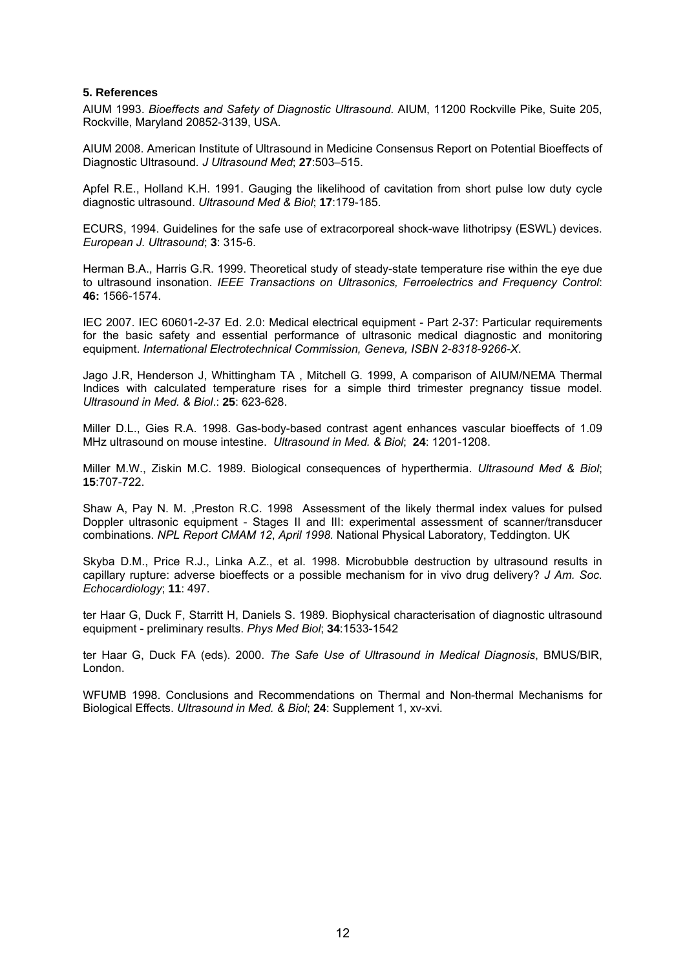#### **5. References**

AIUM 1993. *Bioeffects and Safety of Diagnostic Ultrasound*. AIUM, 11200 Rockville Pike, Suite 205, Rockville, Maryland 20852-3139, USA.

AIUM 2008. American Institute of Ultrasound in Medicine Consensus Report on Potential Bioeffects of Diagnostic Ultrasound*. J Ultrasound Med*; **27**:503–515.

Apfel R.E., Holland K.H. 1991. Gauging the likelihood of cavitation from short pulse low duty cycle diagnostic ultrasound. *Ultrasound Med & Biol*; **17**:179-185.

ECURS, 1994. Guidelines for the safe use of extracorporeal shock-wave lithotripsy (ESWL) devices. *European J. Ultrasound*; **3**: 315-6.

Herman B.A., Harris G.R. 1999. Theoretical study of steady-state temperature rise within the eye due to ultrasound insonation. *IEEE Transactions on Ultrasonics, Ferroelectrics and Frequency Control*: **46:** 1566-1574.

IEC 2007. IEC 60601-2-37 Ed. 2.0: Medical electrical equipment - Part 2-37: Particular requirements for the basic safety and essential performance of ultrasonic medical diagnostic and monitoring equipment. *International Electrotechnical Commission, Geneva, ISBN 2-8318-9266-X*.

Jago J.R, Henderson J, Whittingham TA , Mitchell G. 1999, A comparison of AIUM/NEMA Thermal Indices with calculated temperature rises for a simple third trimester pregnancy tissue model. *Ultrasound in Med. & Biol*.: **25**: 623-628.

Miller D.L., Gies R.A. 1998. Gas-body-based contrast agent enhances vascular bioeffects of 1.09 MHz ultrasound on mouse intestine. *Ultrasound in Med. & Biol*; **24**: 1201-1208.

Miller M.W., Ziskin M.C. 1989. Biological consequences of hyperthermia. *Ultrasound Med & Biol*; **15**:707-722.

Shaw A, Pay N. M. ,Preston R.C. 1998 Assessment of the likely thermal index values for pulsed Doppler ultrasonic equipment - Stages II and III: experimental assessment of scanner/transducer combinations. *NPL Report CMAM 12*, *April 1998.* National Physical Laboratory, Teddington. UK

Skyba D.M., Price R.J., Linka A.Z., et al. 1998. Microbubble destruction by ultrasound results in capillary rupture: adverse bioeffects or a possible mechanism for in vivo drug delivery? *J Am. Soc. Echocardiology*; **11**: 497.

ter Haar G, Duck F, Starritt H, Daniels S. 1989. Biophysical characterisation of diagnostic ultrasound equipment - preliminary results. *Phys Med Biol*; **34**:1533-1542

ter Haar G, Duck FA (eds). 2000. *The Safe Use of Ultrasound in Medical Diagnosis*, BMUS/BIR, London.

WFUMB 1998. Conclusions and Recommendations on Thermal and Non-thermal Mechanisms for Biological Effects. *Ultrasound in Med. & Biol*; **24**: Supplement 1, xv-xvi.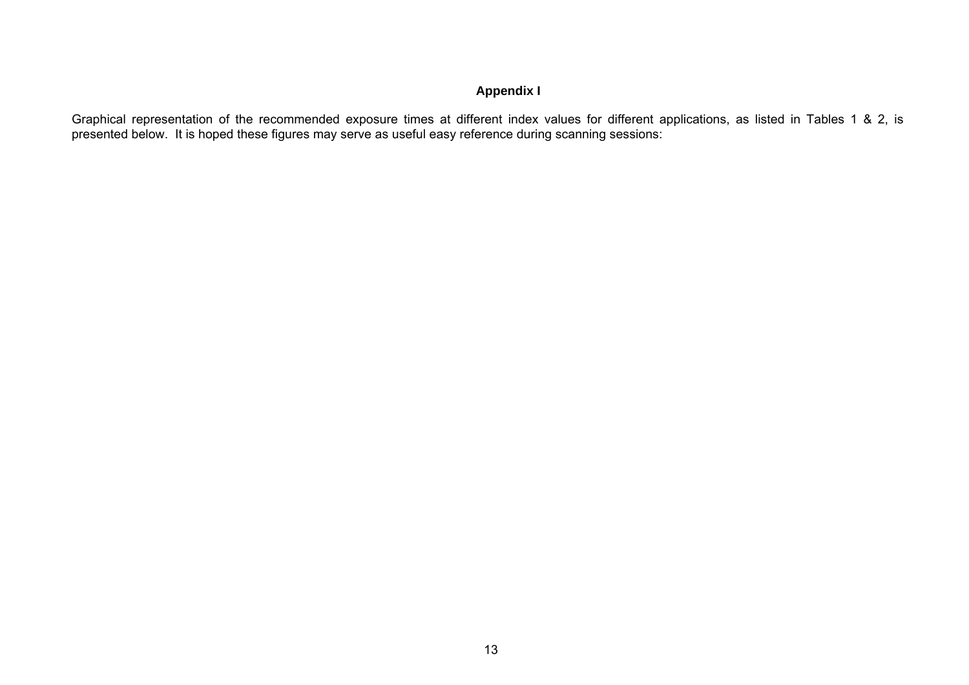### **Appendix I**

Graphical representation of the recommended exposure times at different index values for different applications, as listed in Tables 1 & 2, is presented below. It is hoped these figures may serve as useful easy reference during scanning sessions: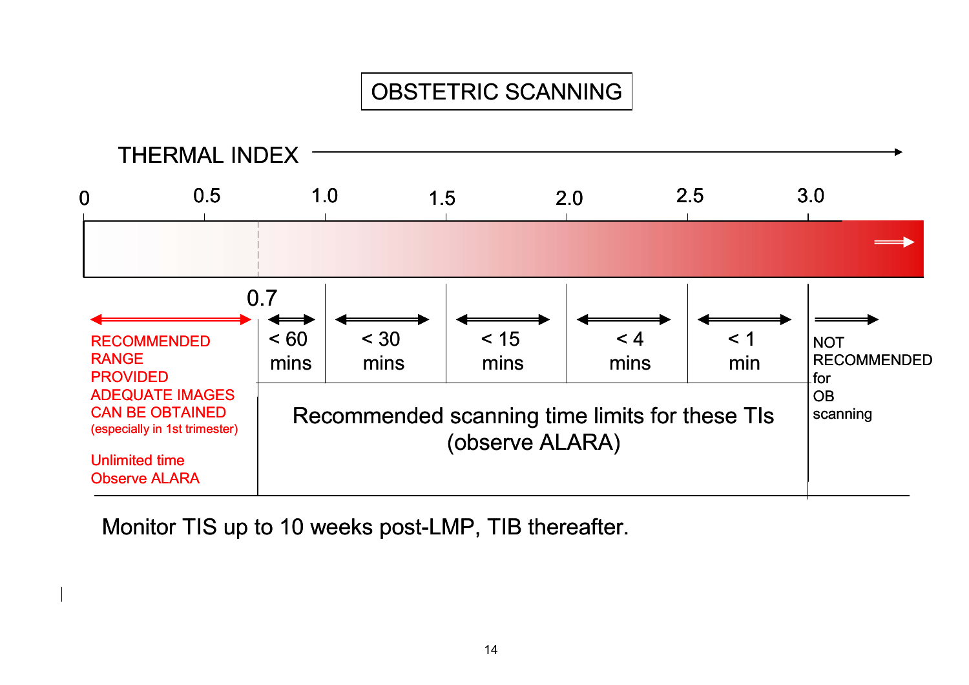# OBSTETRIC SCANNING



Monitor TIS up to 10 weeks post-LMP, TIB thereafter.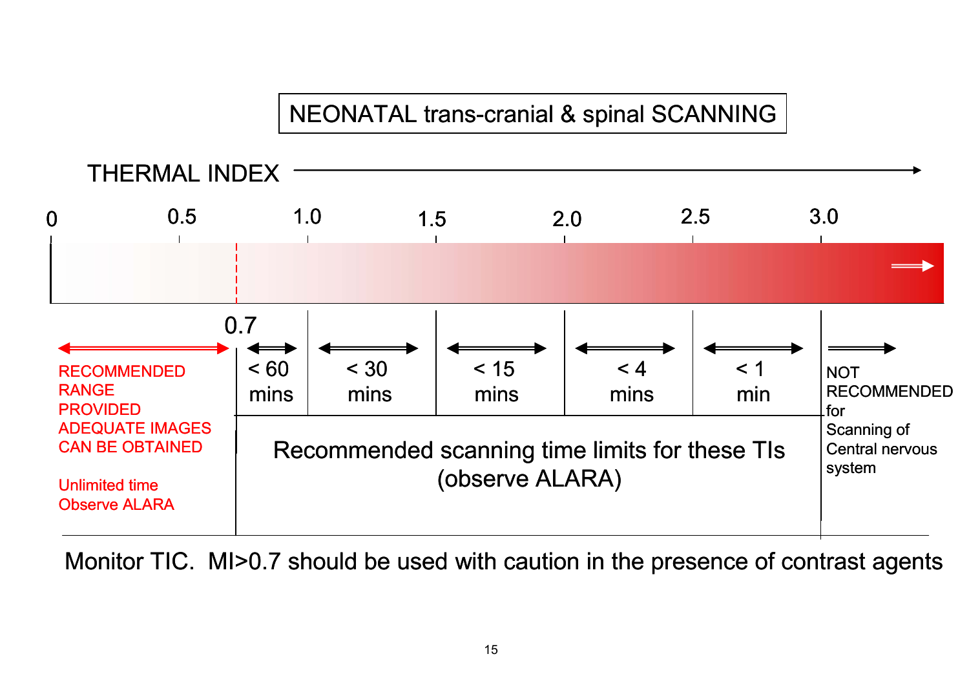# NEONATAL trans-cranial & spinal SCANNING



Monitor TIC. MI>0.7 should be used with caution in the presence of contrast agents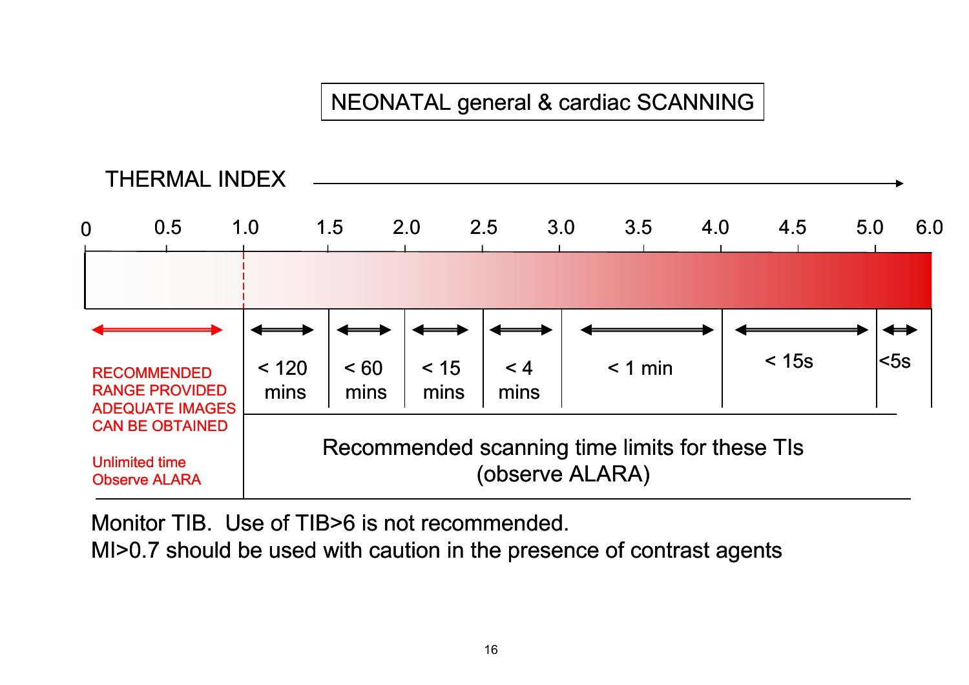# NEONATAL general & cardiac SCANNING



Monitor TIB. Use of TIB>6 is not recommended.

MI>0.7 should be used with caution in the presence of contrast agents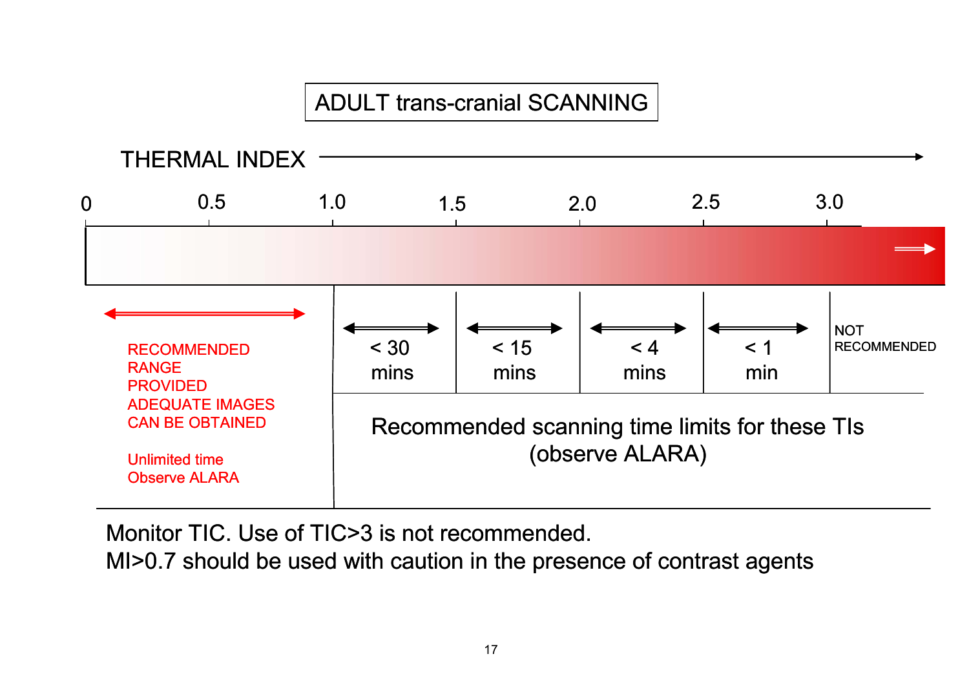# ADULT trans-cranial SCANNING



Monitor TIC. Use of TIC>3 is not recommended.

MI>0.7 should be used with caution in the presence of contrast agents